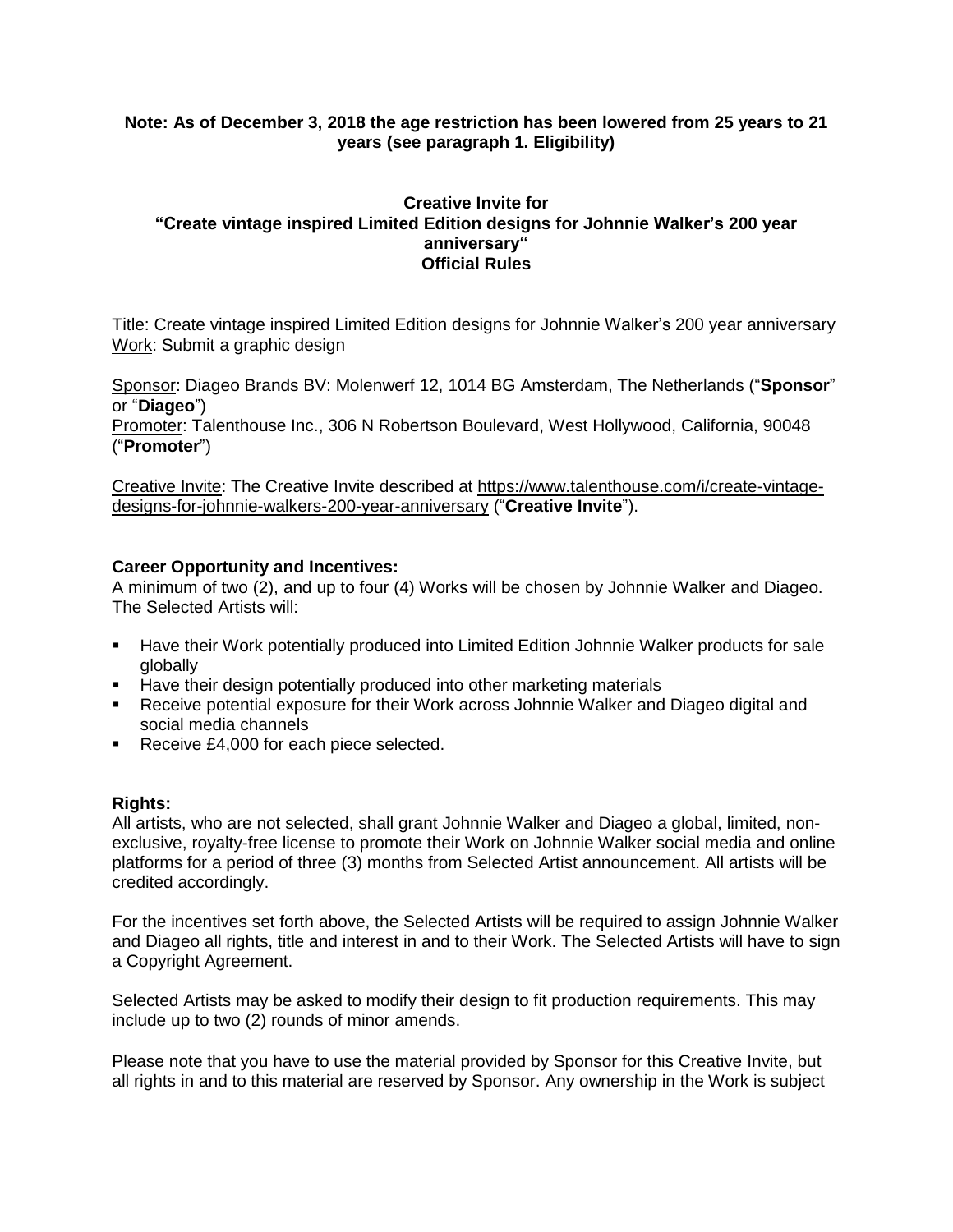# **Note: As of December 3, 2018 the age restriction has been lowered from 25 years to 21 years (see paragraph 1. Eligibility)**

# **Creative Invite for "Create vintage inspired Limited Edition designs for Johnnie Walker's 200 year anniversary" Official Rules**

Title: Create vintage inspired Limited Edition designs for Johnnie Walker's 200 year anniversary Work: Submit a graphic design

Sponsor: Diageo Brands BV: Molenwerf 12, 1014 BG Amsterdam, The Netherlands ("**Sponsor**" or "**Diageo**")

Promoter: Talenthouse Inc., 306 N Robertson Boulevard, West Hollywood, California, 90048 ("**Promoter**")

Creative Invite: The Creative Invite described at [https://www.talenthouse.com/i/create-vintage](https://www.talenthouse.com/i/create-vintage-designs-for-johnnie-walkers-200-year-anniversary)[designs-for-johnnie-walkers-200-year-anniversary](https://www.talenthouse.com/i/create-vintage-designs-for-johnnie-walkers-200-year-anniversary) ("**Creative Invite**").

## **Career Opportunity and Incentives:**

A minimum of two (2), and up to four (4) Works will be chosen by Johnnie Walker and Diageo. The Selected Artists will:

- Have their Work potentially produced into Limited Edition Johnnie Walker products for sale globally
- Have their design potentially produced into other marketing materials
- Receive potential exposure for their Work across Johnnie Walker and Diageo digital and social media channels
- Receive £4,000 for each piece selected.

#### **Rights:**

All artists, who are not selected, shall grant Johnnie Walker and Diageo a global, limited, nonexclusive, royalty-free license to promote their Work on Johnnie Walker social media and online platforms for a period of three (3) months from Selected Artist announcement. All artists will be credited accordingly.

For the incentives set forth above, the Selected Artists will be required to assign Johnnie Walker and Diageo all rights, title and interest in and to their Work. The Selected Artists will have to sign a Copyright Agreement.

Selected Artists may be asked to modify their design to fit production requirements. This may include up to two (2) rounds of minor amends.

Please note that you have to use the material provided by Sponsor for this Creative Invite, but all rights in and to this material are reserved by Sponsor. Any ownership in the Work is subject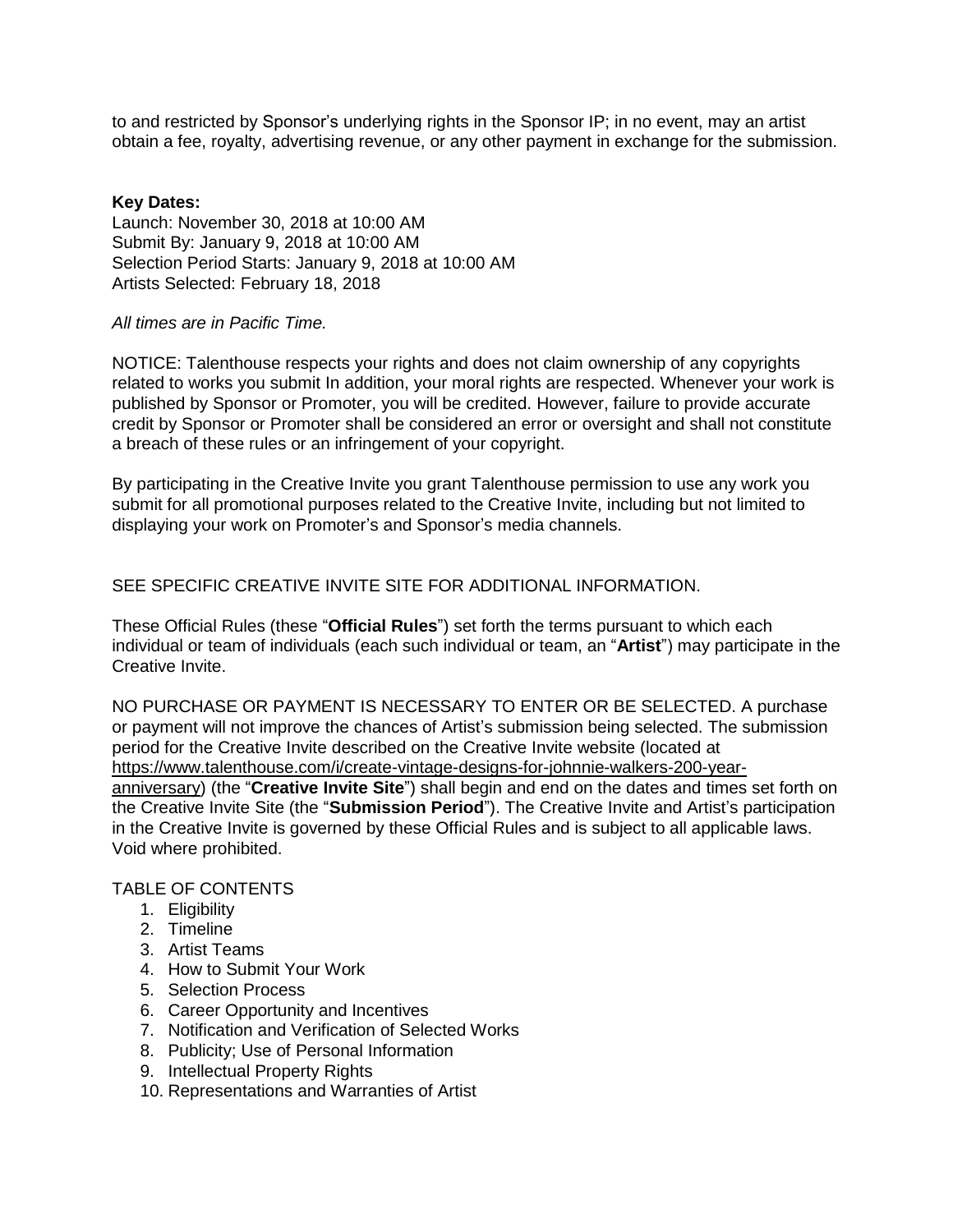to and restricted by Sponsor's underlying rights in the Sponsor IP; in no event, may an artist obtain a fee, royalty, advertising revenue, or any other payment in exchange for the submission.

#### **Key Dates:**

Launch: November 30, 2018 at 10:00 AM Submit By: January 9, 2018 at 10:00 AM Selection Period Starts: January 9, 2018 at 10:00 AM Artists Selected: February 18, 2018

## *All times are in Pacific Time.*

NOTICE: Talenthouse respects your rights and does not claim ownership of any copyrights related to works you submit In addition, your moral rights are respected. Whenever your work is published by Sponsor or Promoter, you will be credited. However, failure to provide accurate credit by Sponsor or Promoter shall be considered an error or oversight and shall not constitute a breach of these rules or an infringement of your copyright.

By participating in the Creative Invite you grant Talenthouse permission to use any work you submit for all promotional purposes related to the Creative Invite, including but not limited to displaying your work on Promoter's and Sponsor's media channels.

SEE SPECIFIC CREATIVE INVITE SITE FOR ADDITIONAL INFORMATION.

These Official Rules (these "**Official Rules**") set forth the terms pursuant to which each individual or team of individuals (each such individual or team, an "**Artist**") may participate in the Creative Invite.

NO PURCHASE OR PAYMENT IS NECESSARY TO ENTER OR BE SELECTED. A purchase or payment will not improve the chances of Artist's submission being selected. The submission period for the Creative Invite described on the Creative Invite website (located at [https://www.talenthouse.com/i/create-vintage-designs-for-johnnie-walkers-200-year](https://www.talenthouse.com/i/create-vintage-designs-for-johnnie-walkers-200-year-anniversary)[anniversary\)](https://www.talenthouse.com/i/create-vintage-designs-for-johnnie-walkers-200-year-anniversary) (the "**Creative Invite Site**") shall begin and end on the dates and times set forth on the Creative Invite Site (the "**Submission Period**"). The Creative Invite and Artist's participation in the Creative Invite is governed by these Official Rules and is subject to all applicable laws. Void where prohibited.

# TABLE OF CONTENTS

- 1. Eligibility
- 2. Timeline
- 3. Artist Teams
- 4. How to Submit Your Work
- 5. Selection Process
- 6. Career Opportunity and Incentives
- 7. Notification and Verification of Selected Works
- 8. Publicity; Use of Personal Information
- 9. Intellectual Property Rights
- 10. Representations and Warranties of Artist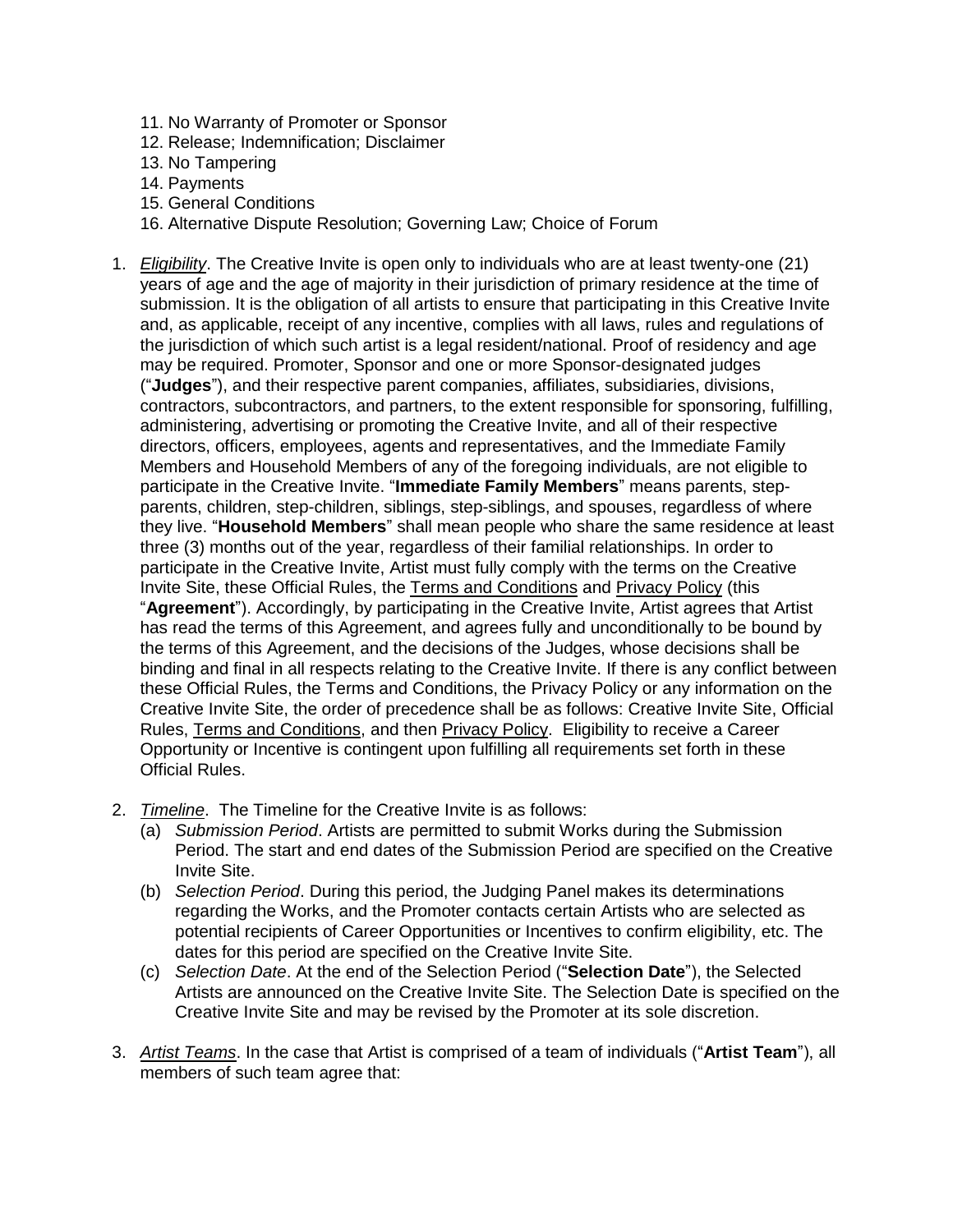- 11. No Warranty of Promoter or Sponsor
- 12. Release; Indemnification; Disclaimer
- 13. No Tampering
- 14. Payments
- 15. General Conditions
- 16. Alternative Dispute Resolution; Governing Law; Choice of Forum
- 1. *Eligibility*. The Creative Invite is open only to individuals who are at least twenty-one (21) years of age and the age of majority in their jurisdiction of primary residence at the time of submission. It is the obligation of all artists to ensure that participating in this Creative Invite and, as applicable, receipt of any incentive, complies with all laws, rules and regulations of the jurisdiction of which such artist is a legal resident/national. Proof of residency and age may be required. Promoter, Sponsor and one or more Sponsor-designated judges ("**Judges**"), and their respective parent companies, affiliates, subsidiaries, divisions, contractors, subcontractors, and partners, to the extent responsible for sponsoring, fulfilling, administering, advertising or promoting the Creative Invite, and all of their respective directors, officers, employees, agents and representatives, and the Immediate Family Members and Household Members of any of the foregoing individuals, are not eligible to participate in the Creative Invite. "**Immediate Family Members**" means parents, stepparents, children, step-children, siblings, step-siblings, and spouses, regardless of where they live. "**Household Members**" shall mean people who share the same residence at least three (3) months out of the year, regardless of their familial relationships. In order to participate in the Creative Invite, Artist must fully comply with the terms on the Creative Invite Site, these Official Rules, the Terms and [Conditions](https://www.talenthouse.com/terms-and-conditions) and [Privacy](https://www.talenthouse.com/privacy-policy) Policy (this "**Agreement**"). Accordingly, by participating in the Creative Invite, Artist agrees that Artist has read the terms of this Agreement, and agrees fully and unconditionally to be bound by the terms of this Agreement, and the decisions of the Judges, whose decisions shall be binding and final in all respects relating to the Creative Invite. If there is any conflict between these Official Rules, the Terms and Conditions, the Privacy Policy or any information on the Creative Invite Site, the order of precedence shall be as follows: Creative Invite Site, Official Rules, Terms and Conditions, and then Privacy Policy. Eligibility to receive a Career Opportunity or Incentive is contingent upon fulfilling all requirements set forth in these Official Rules.
- 2. *Timeline*. The Timeline for the Creative Invite is as follows:
	- (a) *Submission Period*. Artists are permitted to submit Works during the Submission Period. The start and end dates of the Submission Period are specified on the Creative Invite Site.
	- (b) *Selection Period*. During this period, the Judging Panel makes its determinations regarding the Works, and the Promoter contacts certain Artists who are selected as potential recipients of Career Opportunities or Incentives to confirm eligibility, etc. The dates for this period are specified on the Creative Invite Site.
	- (c) *Selection Date*. At the end of the Selection Period ("**Selection Date**"), the Selected Artists are announced on the Creative Invite Site. The Selection Date is specified on the Creative Invite Site and may be revised by the Promoter at its sole discretion.
- 3. *Artist Teams*. In the case that Artist is comprised of a team of individuals ("**Artist Team**"), all members of such team agree that: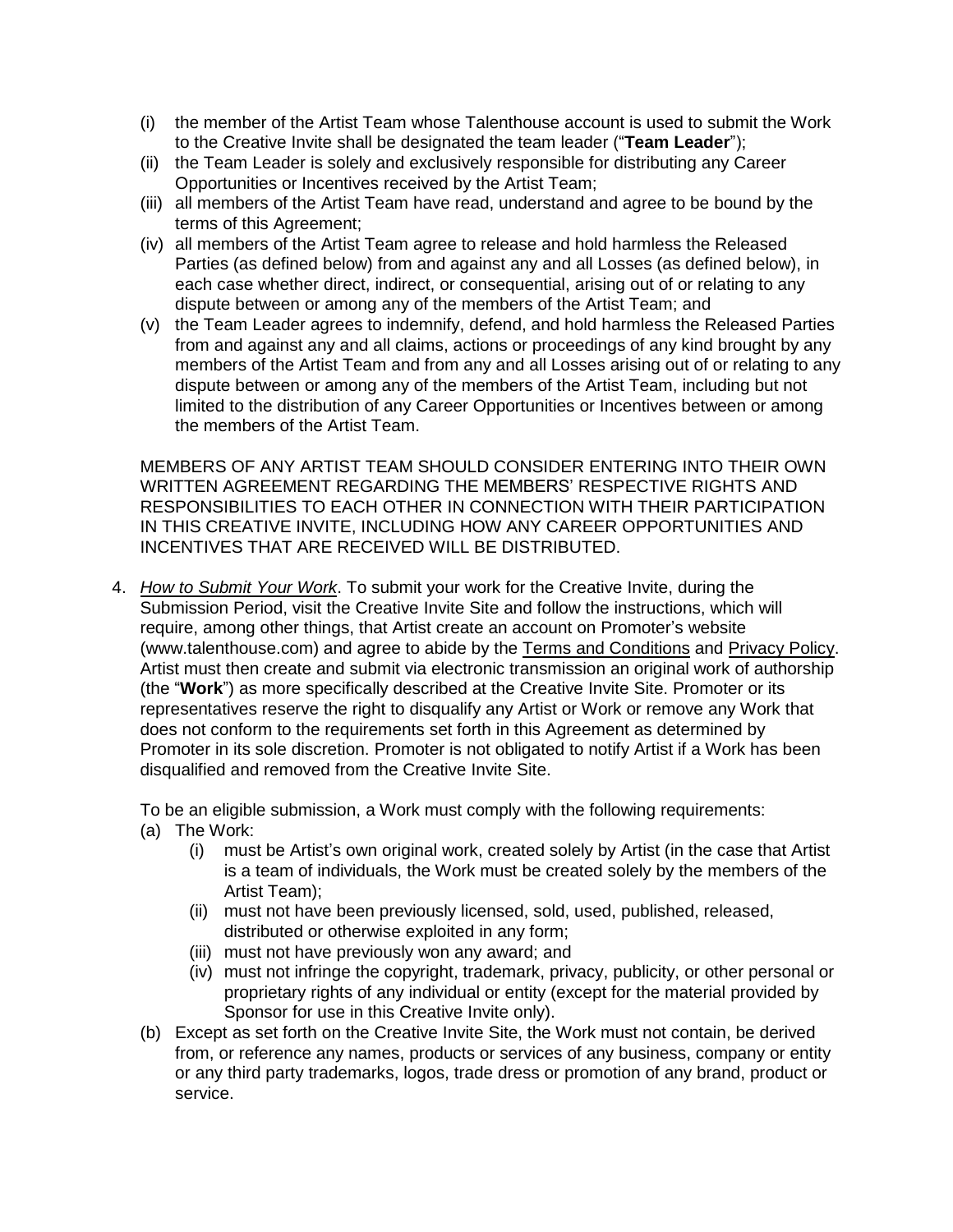- (i) the member of the Artist Team whose Talenthouse account is used to submit the Work to the Creative Invite shall be designated the team leader ("**Team Leader**");
- (ii) the Team Leader is solely and exclusively responsible for distributing any Career Opportunities or Incentives received by the Artist Team;
- (iii) all members of the Artist Team have read, understand and agree to be bound by the terms of this Agreement;
- (iv) all members of the Artist Team agree to release and hold harmless the Released Parties (as defined below) from and against any and all Losses (as defined below), in each case whether direct, indirect, or consequential, arising out of or relating to any dispute between or among any of the members of the Artist Team; and
- (v) the Team Leader agrees to indemnify, defend, and hold harmless the Released Parties from and against any and all claims, actions or proceedings of any kind brought by any members of the Artist Team and from any and all Losses arising out of or relating to any dispute between or among any of the members of the Artist Team, including but not limited to the distribution of any Career Opportunities or Incentives between or among the members of the Artist Team.

MEMBERS OF ANY ARTIST TEAM SHOULD CONSIDER ENTERING INTO THEIR OWN WRITTEN AGREEMENT REGARDING THE MEMBERS' RESPECTIVE RIGHTS AND RESPONSIBILITIES TO EACH OTHER IN CONNECTION WITH THEIR PARTICIPATION IN THIS CREATIVE INVITE, INCLUDING HOW ANY CAREER OPPORTUNITIES AND INCENTIVES THAT ARE RECEIVED WILL BE DISTRIBUTED.

4. *How to Submit Your Work*. To submit your work for the Creative Invite, during the Submission Period, visit the Creative Invite Site and follow the instructions, which will require, among other things, that Artist create an account on Promoter's website (www.talenthouse.com) and agree to abide by the Terms and Conditions and Privacy Policy. Artist must then create and submit via electronic transmission an original work of authorship (the "**Work**") as more specifically described at the Creative Invite Site. Promoter or its representatives reserve the right to disqualify any Artist or Work or remove any Work that does not conform to the requirements set forth in this Agreement as determined by Promoter in its sole discretion. Promoter is not obligated to notify Artist if a Work has been disqualified and removed from the Creative Invite Site.

To be an eligible submission, a Work must comply with the following requirements:

- (a) The Work:
	- (i) must be Artist's own original work, created solely by Artist (in the case that Artist is a team of individuals, the Work must be created solely by the members of the Artist Team);
	- (ii) must not have been previously licensed, sold, used, published, released, distributed or otherwise exploited in any form;
	- (iii) must not have previously won any award; and
	- (iv) must not infringe the copyright, trademark, privacy, publicity, or other personal or proprietary rights of any individual or entity (except for the material provided by Sponsor for use in this Creative Invite only).
- (b) Except as set forth on the Creative Invite Site, the Work must not contain, be derived from, or reference any names, products or services of any business, company or entity or any third party trademarks, logos, trade dress or promotion of any brand, product or service.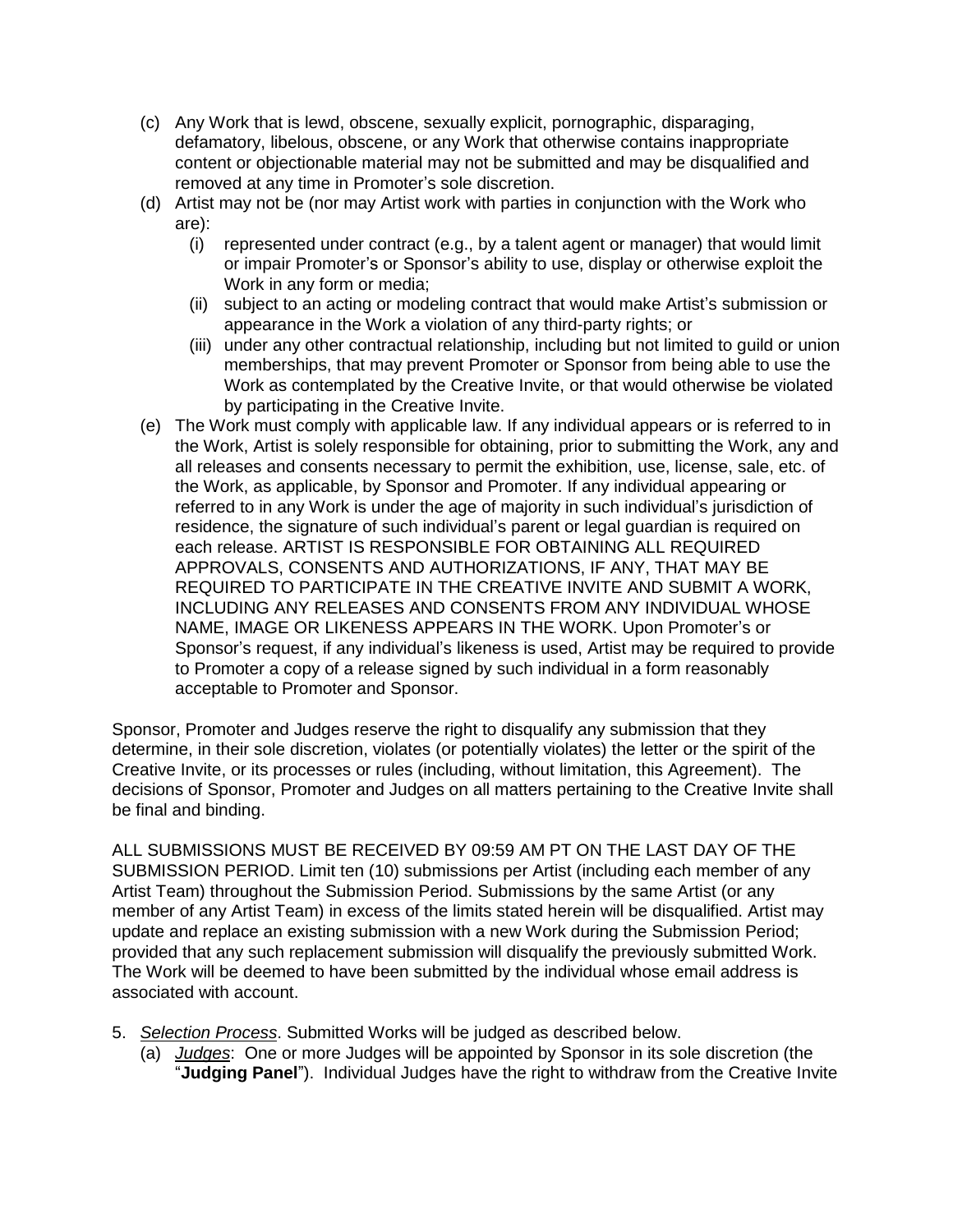- (c) Any Work that is lewd, obscene, sexually explicit, pornographic, disparaging, defamatory, libelous, obscene, or any Work that otherwise contains inappropriate content or objectionable material may not be submitted and may be disqualified and removed at any time in Promoter's sole discretion.
- (d) Artist may not be (nor may Artist work with parties in conjunction with the Work who are):
	- (i) represented under contract (e.g., by a talent agent or manager) that would limit or impair Promoter's or Sponsor's ability to use, display or otherwise exploit the Work in any form or media;
	- (ii) subject to an acting or modeling contract that would make Artist's submission or appearance in the Work a violation of any third-party rights; or
	- (iii) under any other contractual relationship, including but not limited to guild or union memberships, that may prevent Promoter or Sponsor from being able to use the Work as contemplated by the Creative Invite, or that would otherwise be violated by participating in the Creative Invite.
- (e) The Work must comply with applicable law. If any individual appears or is referred to in the Work, Artist is solely responsible for obtaining, prior to submitting the Work, any and all releases and consents necessary to permit the exhibition, use, license, sale, etc. of the Work, as applicable, by Sponsor and Promoter. If any individual appearing or referred to in any Work is under the age of majority in such individual's jurisdiction of residence, the signature of such individual's parent or legal guardian is required on each release. ARTIST IS RESPONSIBLE FOR OBTAINING ALL REQUIRED APPROVALS, CONSENTS AND AUTHORIZATIONS, IF ANY, THAT MAY BE REQUIRED TO PARTICIPATE IN THE CREATIVE INVITE AND SUBMIT A WORK, INCLUDING ANY RELEASES AND CONSENTS FROM ANY INDIVIDUAL WHOSE NAME, IMAGE OR LIKENESS APPEARS IN THE WORK. Upon Promoter's or Sponsor's request, if any individual's likeness is used, Artist may be required to provide to Promoter a copy of a release signed by such individual in a form reasonably acceptable to Promoter and Sponsor.

Sponsor, Promoter and Judges reserve the right to disqualify any submission that they determine, in their sole discretion, violates (or potentially violates) the letter or the spirit of the Creative Invite, or its processes or rules (including, without limitation, this Agreement). The decisions of Sponsor, Promoter and Judges on all matters pertaining to the Creative Invite shall be final and binding.

ALL SUBMISSIONS MUST BE RECEIVED BY 09:59 AM PT ON THE LAST DAY OF THE SUBMISSION PERIOD. Limit ten (10) submissions per Artist (including each member of any Artist Team) throughout the Submission Period. Submissions by the same Artist (or any member of any Artist Team) in excess of the limits stated herein will be disqualified. Artist may update and replace an existing submission with a new Work during the Submission Period; provided that any such replacement submission will disqualify the previously submitted Work. The Work will be deemed to have been submitted by the individual whose email address is associated with account.

- 5. *Selection Process*. Submitted Works will be judged as described below.
	- (a) *Judges*: One or more Judges will be appointed by Sponsor in its sole discretion (the "**Judging Panel**"). Individual Judges have the right to withdraw from the Creative Invite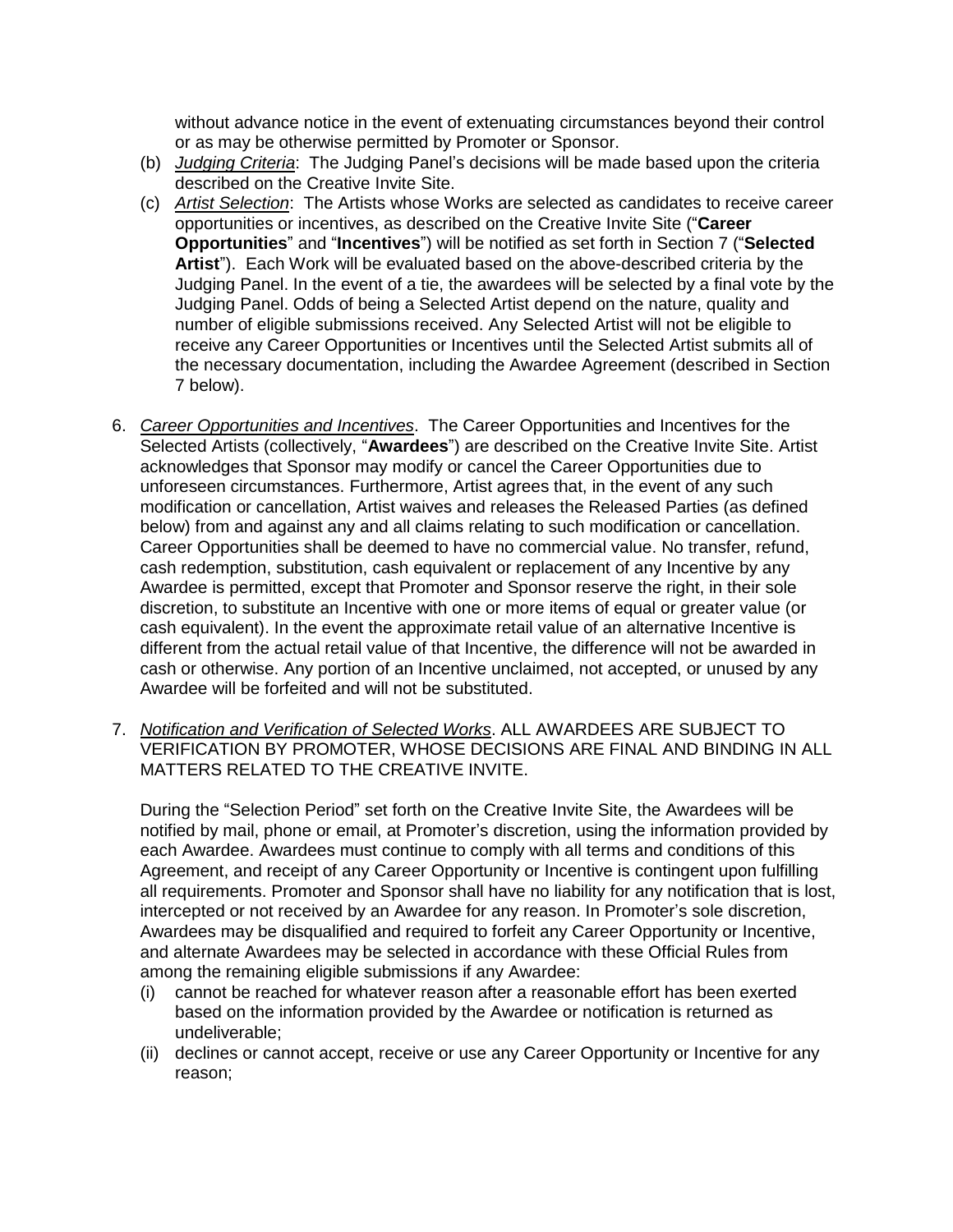without advance notice in the event of extenuating circumstances beyond their control or as may be otherwise permitted by Promoter or Sponsor.

- (b) *Judging Criteria*: The Judging Panel's decisions will be made based upon the criteria described on the Creative Invite Site.
- (c) *Artist Selection*: The Artists whose Works are selected as candidates to receive career opportunities or incentives, as described on the Creative Invite Site ("**Career Opportunities**" and "**Incentives**") will be notified as set forth in Section 7 ("**Selected Artist**"). Each Work will be evaluated based on the above-described criteria by the Judging Panel. In the event of a tie, the awardees will be selected by a final vote by the Judging Panel. Odds of being a Selected Artist depend on the nature, quality and number of eligible submissions received. Any Selected Artist will not be eligible to receive any Career Opportunities or Incentives until the Selected Artist submits all of the necessary documentation, including the Awardee Agreement (described in Section 7 below).
- 6. *Career Opportunities and Incentives*. The Career Opportunities and Incentives for the Selected Artists (collectively, "**Awardees**") are described on the Creative Invite Site. Artist acknowledges that Sponsor may modify or cancel the Career Opportunities due to unforeseen circumstances. Furthermore, Artist agrees that, in the event of any such modification or cancellation, Artist waives and releases the Released Parties (as defined below) from and against any and all claims relating to such modification or cancellation. Career Opportunities shall be deemed to have no commercial value. No transfer, refund, cash redemption, substitution, cash equivalent or replacement of any Incentive by any Awardee is permitted, except that Promoter and Sponsor reserve the right, in their sole discretion, to substitute an Incentive with one or more items of equal or greater value (or cash equivalent). In the event the approximate retail value of an alternative Incentive is different from the actual retail value of that Incentive, the difference will not be awarded in cash or otherwise. Any portion of an Incentive unclaimed, not accepted, or unused by any Awardee will be forfeited and will not be substituted.
- 7. *Notification and Verification of Selected Works*. ALL AWARDEES ARE SUBJECT TO VERIFICATION BY PROMOTER, WHOSE DECISIONS ARE FINAL AND BINDING IN ALL MATTERS RELATED TO THE CREATIVE INVITE.

During the "Selection Period" set forth on the Creative Invite Site, the Awardees will be notified by mail, phone or email, at Promoter's discretion, using the information provided by each Awardee. Awardees must continue to comply with all terms and conditions of this Agreement, and receipt of any Career Opportunity or Incentive is contingent upon fulfilling all requirements. Promoter and Sponsor shall have no liability for any notification that is lost, intercepted or not received by an Awardee for any reason. In Promoter's sole discretion, Awardees may be disqualified and required to forfeit any Career Opportunity or Incentive, and alternate Awardees may be selected in accordance with these Official Rules from among the remaining eligible submissions if any Awardee:

- (i) cannot be reached for whatever reason after a reasonable effort has been exerted based on the information provided by the Awardee or notification is returned as undeliverable;
- (ii) declines or cannot accept, receive or use any Career Opportunity or Incentive for any reason;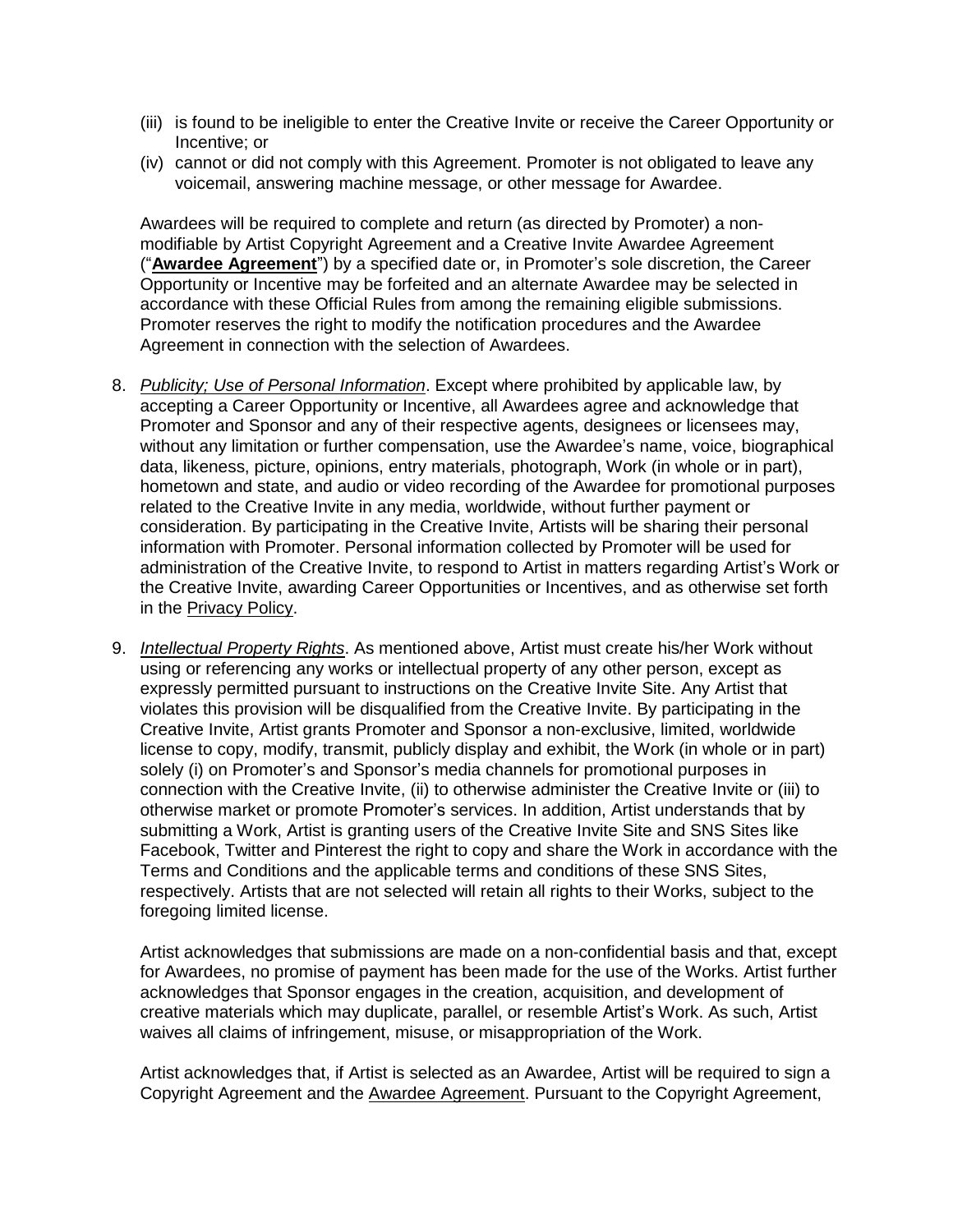- (iii) is found to be ineligible to enter the Creative Invite or receive the Career Opportunity or Incentive; or
- (iv) cannot or did not comply with this Agreement. Promoter is not obligated to leave any voicemail, answering machine message, or other message for Awardee.

Awardees will be required to complete and return (as directed by Promoter) a nonmodifiable by Artist Copyright Agreement and a Creative Invite Awardee Agreement ("**Awardee [Agreement](https://talenthouse-res.cloudinary.com/image/upload/v1/invites/o3r69eoji61jzguvybq0)**") by a specified date or, in Promoter's sole discretion, the Career Opportunity or Incentive may be forfeited and an alternate Awardee may be selected in accordance with these Official Rules from among the remaining eligible submissions. Promoter reserves the right to modify the notification procedures and the Awardee Agreement in connection with the selection of Awardees.

- 8. *Publicity; Use of Personal Information*. Except where prohibited by applicable law, by accepting a Career Opportunity or Incentive, all Awardees agree and acknowledge that Promoter and Sponsor and any of their respective agents, designees or licensees may, without any limitation or further compensation, use the Awardee's name, voice, biographical data, likeness, picture, opinions, entry materials, photograph, Work (in whole or in part), hometown and state, and audio or video recording of the Awardee for promotional purposes related to the Creative Invite in any media, worldwide, without further payment or consideration. By participating in the Creative Invite, Artists will be sharing their personal information with Promoter. Personal information collected by Promoter will be used for administration of the Creative Invite, to respond to Artist in matters regarding Artist's Work or the Creative Invite, awarding Career Opportunities or Incentives, and as otherwise set forth in the [Privacy](https://www.talenthouse.com/privacy-policy) Policy.
- 9. *Intellectual Property Rights*. As mentioned above, Artist must create his/her Work without using or referencing any works or intellectual property of any other person, except as expressly permitted pursuant to instructions on the Creative Invite Site. Any Artist that violates this provision will be disqualified from the Creative Invite. By participating in the Creative Invite, Artist grants Promoter and Sponsor a non-exclusive, limited, worldwide license to copy, modify, transmit, publicly display and exhibit, the Work (in whole or in part) solely (i) on Promoter's and Sponsor's media channels for promotional purposes in connection with the Creative Invite, (ii) to otherwise administer the Creative Invite or (iii) to otherwise market or promote Promoter's services. In addition, Artist understands that by submitting a Work, Artist is granting users of the Creative Invite Site and SNS Sites like Facebook, Twitter and Pinterest the right to copy and share the Work in accordance with the Terms and Conditions and the applicable terms and conditions of these SNS Sites, respectively. Artists that are not selected will retain all rights to their Works, subject to the foregoing limited license.

Artist acknowledges that submissions are made on a non-confidential basis and that, except for Awardees, no promise of payment has been made for the use of the Works. Artist further acknowledges that Sponsor engages in the creation, acquisition, and development of creative materials which may duplicate, parallel, or resemble Artist's Work. As such, Artist waives all claims of infringement, misuse, or misappropriation of the Work.

Artist acknowledges that, if Artist is selected as an Awardee, Artist will be required to sign a Copyright Agreement and the Awardee [Agreement.](https://talenthouse-res.cloudinary.com/image/upload/v1/invites/o3r69eoji61jzguvybq0) Pursuant to the Copyright Agreement,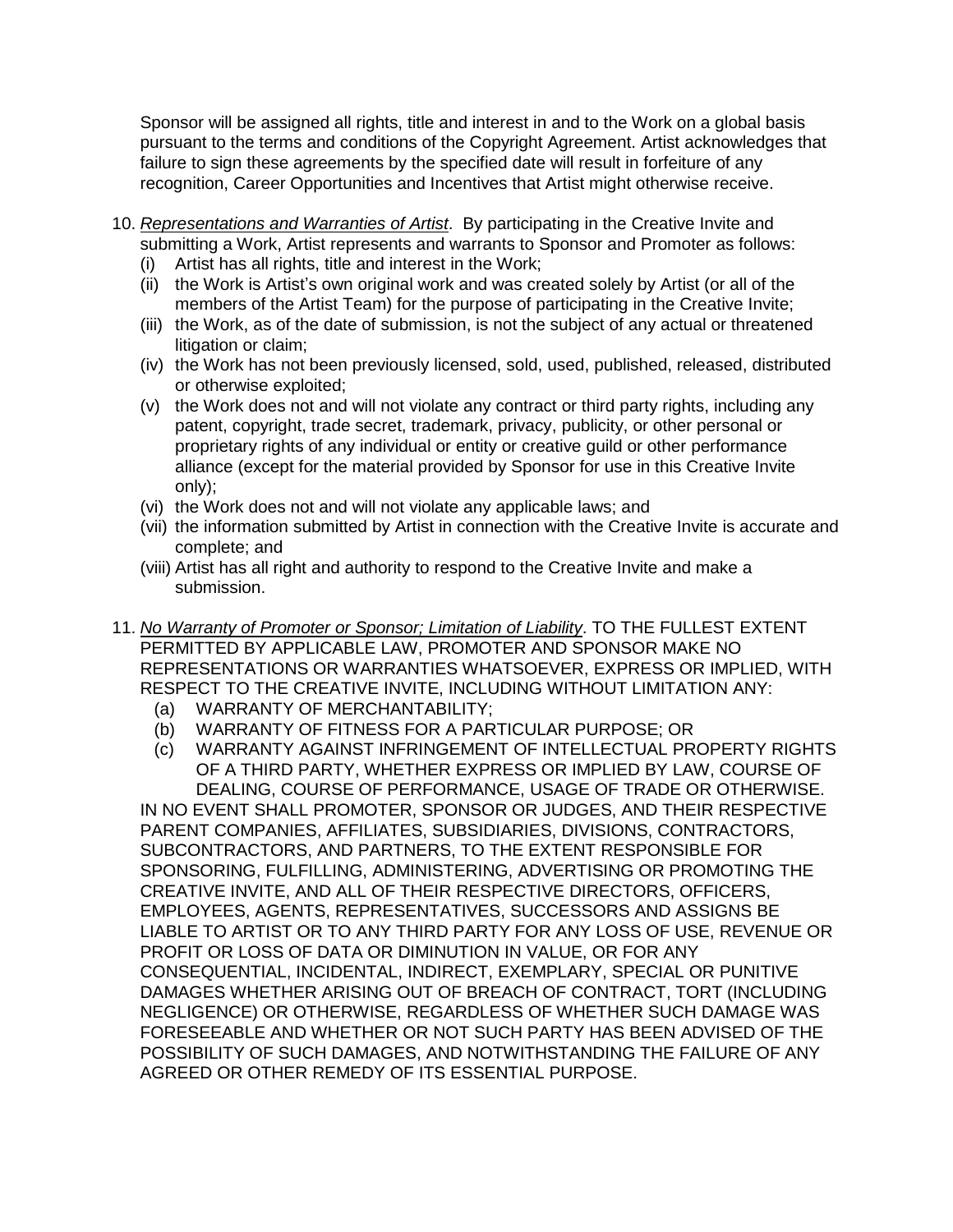Sponsor will be assigned all rights, title and interest in and to the Work on a global basis pursuant to the terms and conditions of the Copyright Agreement. Artist acknowledges that failure to sign these agreements by the specified date will result in forfeiture of any recognition, Career Opportunities and Incentives that Artist might otherwise receive.

- 10. *Representations and Warranties of Artist*. By participating in the Creative Invite and submitting a Work, Artist represents and warrants to Sponsor and Promoter as follows:
	- (i) Artist has all rights, title and interest in the Work;
	- (ii) the Work is Artist's own original work and was created solely by Artist (or all of the members of the Artist Team) for the purpose of participating in the Creative Invite;
	- (iii) the Work, as of the date of submission, is not the subject of any actual or threatened litigation or claim;
	- (iv) the Work has not been previously licensed, sold, used, published, released, distributed or otherwise exploited;
	- (v) the Work does not and will not violate any contract or third party rights, including any patent, copyright, trade secret, trademark, privacy, publicity, or other personal or proprietary rights of any individual or entity or creative guild or other performance alliance (except for the material provided by Sponsor for use in this Creative Invite only);
	- (vi) the Work does not and will not violate any applicable laws; and
	- (vii) the information submitted by Artist in connection with the Creative Invite is accurate and complete; and
	- (viii) Artist has all right and authority to respond to the Creative Invite and make a submission.
- 11. *No Warranty of Promoter or Sponsor; Limitation of Liability*. TO THE FULLEST EXTENT PERMITTED BY APPLICABLE LAW, PROMOTER AND SPONSOR MAKE NO REPRESENTATIONS OR WARRANTIES WHATSOEVER, EXPRESS OR IMPLIED, WITH RESPECT TO THE CREATIVE INVITE, INCLUDING WITHOUT LIMITATION ANY:
	- (a) WARRANTY OF MERCHANTABILITY;
	- (b) WARRANTY OF FITNESS FOR A PARTICULAR PURPOSE; OR
	- (c) WARRANTY AGAINST INFRINGEMENT OF INTELLECTUAL PROPERTY RIGHTS OF A THIRD PARTY, WHETHER EXPRESS OR IMPLIED BY LAW, COURSE OF DEALING, COURSE OF PERFORMANCE, USAGE OF TRADE OR OTHERWISE.

IN NO EVENT SHALL PROMOTER, SPONSOR OR JUDGES, AND THEIR RESPECTIVE PARENT COMPANIES, AFFILIATES, SUBSIDIARIES, DIVISIONS, CONTRACTORS, SUBCONTRACTORS, AND PARTNERS, TO THE EXTENT RESPONSIBLE FOR SPONSORING, FULFILLING, ADMINISTERING, ADVERTISING OR PROMOTING THE CREATIVE INVITE, AND ALL OF THEIR RESPECTIVE DIRECTORS, OFFICERS, EMPLOYEES, AGENTS, REPRESENTATIVES, SUCCESSORS AND ASSIGNS BE LIABLE TO ARTIST OR TO ANY THIRD PARTY FOR ANY LOSS OF USE, REVENUE OR PROFIT OR LOSS OF DATA OR DIMINUTION IN VALUE, OR FOR ANY CONSEQUENTIAL, INCIDENTAL, INDIRECT, EXEMPLARY, SPECIAL OR PUNITIVE DAMAGES WHETHER ARISING OUT OF BREACH OF CONTRACT, TORT (INCLUDING NEGLIGENCE) OR OTHERWISE, REGARDLESS OF WHETHER SUCH DAMAGE WAS FORESEEABLE AND WHETHER OR NOT SUCH PARTY HAS BEEN ADVISED OF THE POSSIBILITY OF SUCH DAMAGES, AND NOTWITHSTANDING THE FAILURE OF ANY AGREED OR OTHER REMEDY OF ITS ESSENTIAL PURPOSE.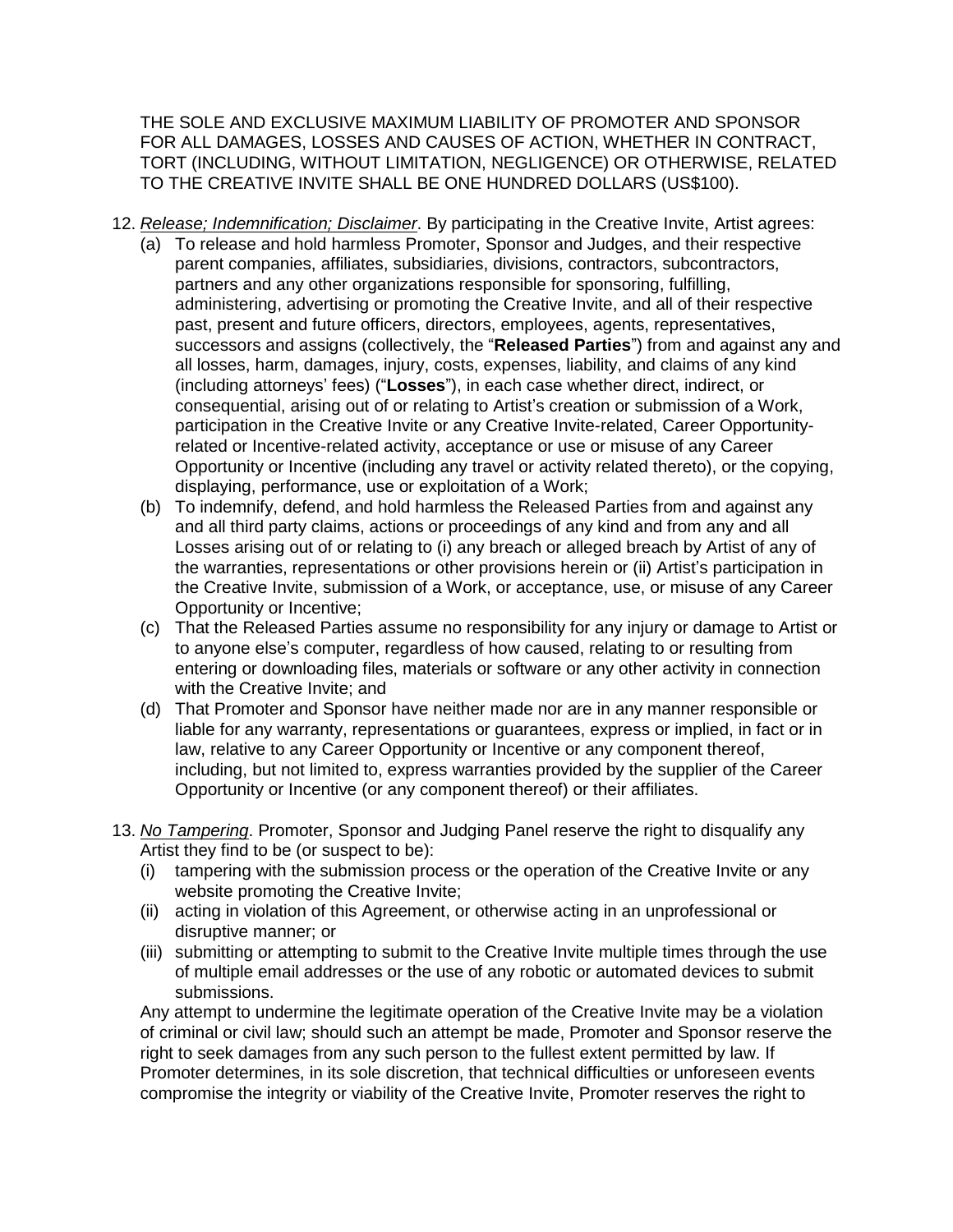THE SOLE AND EXCLUSIVE MAXIMUM LIABILITY OF PROMOTER AND SPONSOR FOR ALL DAMAGES, LOSSES AND CAUSES OF ACTION, WHETHER IN CONTRACT, TORT (INCLUDING, WITHOUT LIMITATION, NEGLIGENCE) OR OTHERWISE, RELATED TO THE CREATIVE INVITE SHALL BE ONE HUNDRED DOLLARS (US\$100).

- 12. *Release; Indemnification; Disclaimer*. By participating in the Creative Invite, Artist agrees:
	- (a) To release and hold harmless Promoter, Sponsor and Judges, and their respective parent companies, affiliates, subsidiaries, divisions, contractors, subcontractors, partners and any other organizations responsible for sponsoring, fulfilling, administering, advertising or promoting the Creative Invite, and all of their respective past, present and future officers, directors, employees, agents, representatives, successors and assigns (collectively, the "**Released Parties**") from and against any and all losses, harm, damages, injury, costs, expenses, liability, and claims of any kind (including attorneys' fees) ("**Losses**"), in each case whether direct, indirect, or consequential, arising out of or relating to Artist's creation or submission of a Work, participation in the Creative Invite or any Creative Invite-related, Career Opportunityrelated or Incentive-related activity, acceptance or use or misuse of any Career Opportunity or Incentive (including any travel or activity related thereto), or the copying, displaying, performance, use or exploitation of a Work;
	- (b) To indemnify, defend, and hold harmless the Released Parties from and against any and all third party claims, actions or proceedings of any kind and from any and all Losses arising out of or relating to (i) any breach or alleged breach by Artist of any of the warranties, representations or other provisions herein or (ii) Artist's participation in the Creative Invite, submission of a Work, or acceptance, use, or misuse of any Career Opportunity or Incentive;
	- (c) That the Released Parties assume no responsibility for any injury or damage to Artist or to anyone else's computer, regardless of how caused, relating to or resulting from entering or downloading files, materials or software or any other activity in connection with the Creative Invite; and
	- (d) That Promoter and Sponsor have neither made nor are in any manner responsible or liable for any warranty, representations or guarantees, express or implied, in fact or in law, relative to any Career Opportunity or Incentive or any component thereof, including, but not limited to, express warranties provided by the supplier of the Career Opportunity or Incentive (or any component thereof) or their affiliates.
- 13. *No Tampering*. Promoter, Sponsor and Judging Panel reserve the right to disqualify any Artist they find to be (or suspect to be):
	- (i) tampering with the submission process or the operation of the Creative Invite or any website promoting the Creative Invite;
	- (ii) acting in violation of this Agreement, or otherwise acting in an unprofessional or disruptive manner; or
	- (iii) submitting or attempting to submit to the Creative Invite multiple times through the use of multiple email addresses or the use of any robotic or automated devices to submit submissions.

Any attempt to undermine the legitimate operation of the Creative Invite may be a violation of criminal or civil law; should such an attempt be made, Promoter and Sponsor reserve the right to seek damages from any such person to the fullest extent permitted by law. If Promoter determines, in its sole discretion, that technical difficulties or unforeseen events compromise the integrity or viability of the Creative Invite, Promoter reserves the right to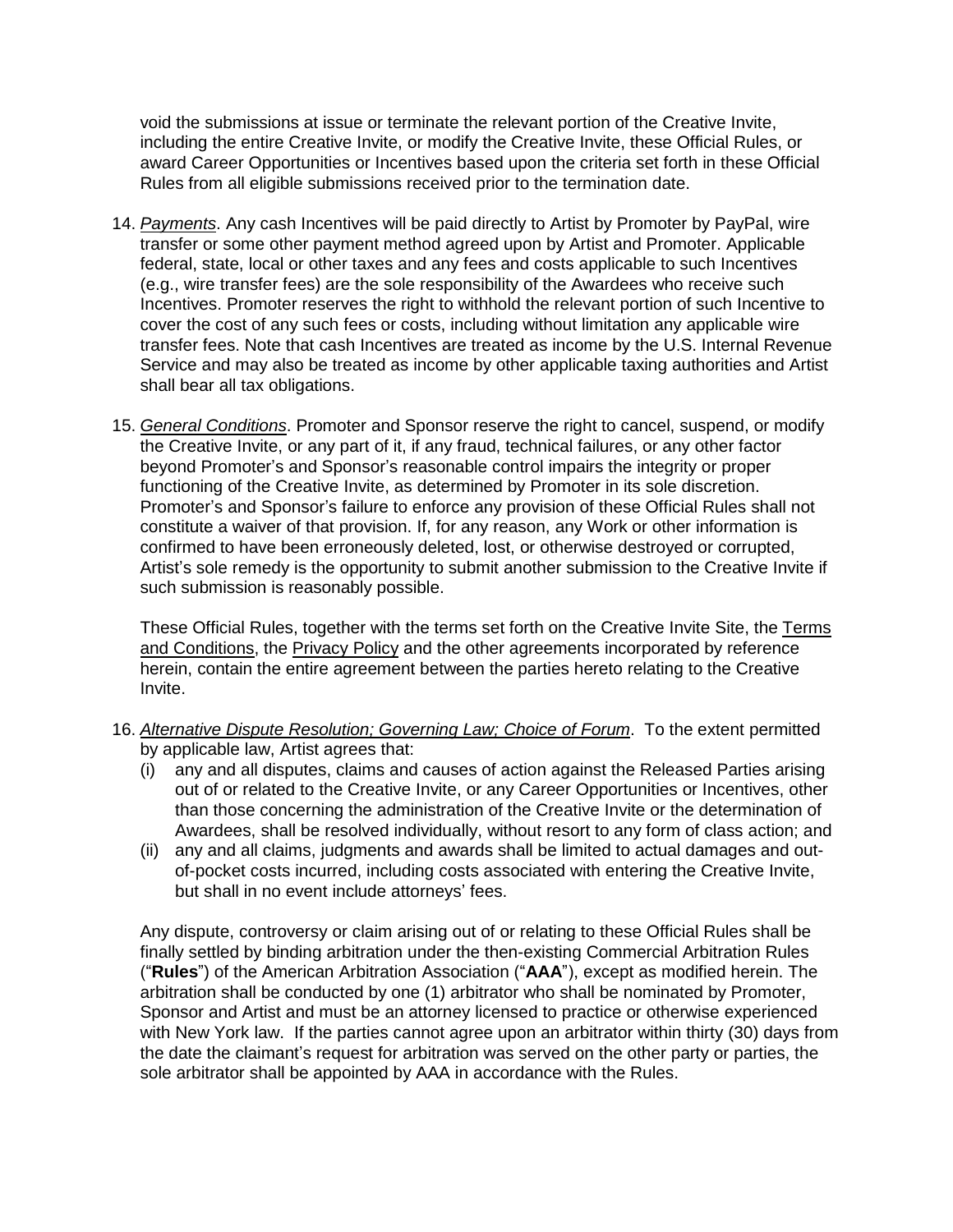void the submissions at issue or terminate the relevant portion of the Creative Invite, including the entire Creative Invite, or modify the Creative Invite, these Official Rules, or award Career Opportunities or Incentives based upon the criteria set forth in these Official Rules from all eligible submissions received prior to the termination date.

- 14. *Payments*. Any cash Incentives will be paid directly to Artist by Promoter by PayPal, wire transfer or some other payment method agreed upon by Artist and Promoter. Applicable federal, state, local or other taxes and any fees and costs applicable to such Incentives (e.g., wire transfer fees) are the sole responsibility of the Awardees who receive such Incentives. Promoter reserves the right to withhold the relevant portion of such Incentive to cover the cost of any such fees or costs, including without limitation any applicable wire transfer fees. Note that cash Incentives are treated as income by the U.S. Internal Revenue Service and may also be treated as income by other applicable taxing authorities and Artist shall bear all tax obligations.
- 15. *General Conditions*. Promoter and Sponsor reserve the right to cancel, suspend, or modify the Creative Invite, or any part of it, if any fraud, technical failures, or any other factor beyond Promoter's and Sponsor's reasonable control impairs the integrity or proper functioning of the Creative Invite, as determined by Promoter in its sole discretion. Promoter's and Sponsor's failure to enforce any provision of these Official Rules shall not constitute a waiver of that provision. If, for any reason, any Work or other information is confirmed to have been erroneously deleted, lost, or otherwise destroyed or corrupted, Artist's sole remedy is the opportunity to submit another submission to the Creative Invite if such submission is reasonably possible.

These Official Rules, together with the terms set forth on the Creative Invite Site, the [Terms](https://www.talenthouse.com/terms-and-conditions) and [Conditions,](https://www.talenthouse.com/terms-and-conditions) the [Privacy](https://www.talenthouse.com/privacy-policy) Policy and the other agreements incorporated by reference herein, contain the entire agreement between the parties hereto relating to the Creative Invite.

- 16. *Alternative Dispute Resolution; Governing Law; Choice of Forum*. To the extent permitted by applicable law, Artist agrees that:
	- (i) any and all disputes, claims and causes of action against the Released Parties arising out of or related to the Creative Invite, or any Career Opportunities or Incentives, other than those concerning the administration of the Creative Invite or the determination of Awardees, shall be resolved individually, without resort to any form of class action; and
	- (ii) any and all claims, judgments and awards shall be limited to actual damages and outof-pocket costs incurred, including costs associated with entering the Creative Invite, but shall in no event include attorneys' fees.

Any dispute, controversy or claim arising out of or relating to these Official Rules shall be finally settled by binding arbitration under the then-existing Commercial Arbitration Rules ("**Rules**") of the American Arbitration Association ("**AAA**"), except as modified herein. The arbitration shall be conducted by one (1) arbitrator who shall be nominated by Promoter, Sponsor and Artist and must be an attorney licensed to practice or otherwise experienced with New York law. If the parties cannot agree upon an arbitrator within thirty (30) days from the date the claimant's request for arbitration was served on the other party or parties, the sole arbitrator shall be appointed by AAA in accordance with the Rules.